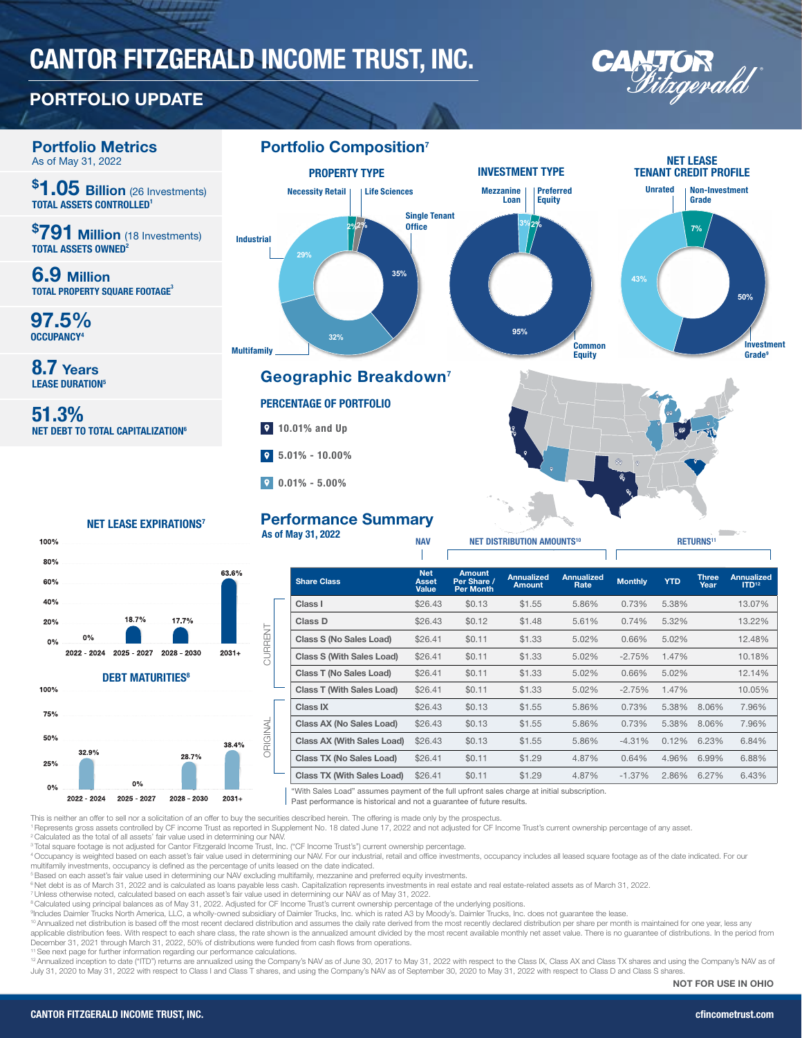# CANTOR FITZGERALD INCOME TRUST, INC.

## PORTFOLIO UPDATE



 $0%$ 2022 - 2024 2025 - 2027 2028 - 2030  $2031 +$ **DEBT MATURITIES<sup>8</sup>** 100% 75% 50% 38.4% 32.9% 28.7% 25%  $0%$ 

2025 - 2027

0%

2022 - 2024

 $0%$ 

| <b>Share Class</b>                | <b>Net</b><br><b>Asset</b><br>Value | <b>Amount</b><br>Per Share /<br><b>Per Month</b> | <b>Annualized</b><br><b>Amount</b> | <b>Annualized</b><br>Rate | <b>Monthly</b> | <b>YTD</b> | <b>Three</b><br>Year | <b>Annualized</b><br>ID <sup>12</sup> |
|-----------------------------------|-------------------------------------|--------------------------------------------------|------------------------------------|---------------------------|----------------|------------|----------------------|---------------------------------------|
| Class I                           | \$26.43                             | \$0.13                                           | \$1.55                             | 5.86%                     | 0.73%          | 5.38%      |                      | 13.07%                                |
| Class D                           | \$26.43                             | \$0.12                                           | \$1.48                             | 5.61%                     | 0.74%          | 5.32%      |                      | 13.22%                                |
| Class S (No Sales Load)           | \$26.41                             | \$0.11                                           | \$1.33                             | 5.02%                     | 0.66%          | 5.02%      |                      | 12.48%                                |
| <b>Class S (With Sales Load)</b>  | \$26.41                             | \$0.11                                           | \$1.33                             | 5.02%                     | $-2.75%$       | 1.47%      |                      | 10.18%                                |
| Class T (No Sales Load)           | \$26.41                             | \$0.11                                           | \$1.33                             | 5.02%                     | 0.66%          | 5.02%      |                      | 12.14%                                |
| <b>Class T (With Sales Load)</b>  | \$26.41                             | \$0.11                                           | \$1.33                             | 5.02%                     | $-2.75%$       | 1.47%      |                      | 10.05%                                |
| Class IX                          | \$26.43                             | \$0.13                                           | \$1.55                             | 5.86%                     | 0.73%          | 5.38%      | 8.06%                | 7.96%                                 |
| Class AX (No Sales Load)          | \$26.43                             | \$0.13                                           | \$1.55                             | 5.86%                     | 0.73%          | 5.38%      | 8.06%                | 7.96%                                 |
| <b>Class AX (With Sales Load)</b> | \$26.43                             | \$0.13                                           | \$1.55                             | 5.86%                     | $-4.31%$       | 0.12%      | 6.23%                | 6.84%                                 |
| <b>Class TX (No Sales Load)</b>   | \$26.41                             | \$0.11                                           | \$1.29                             | 4.87%                     | 0.64%          | 4.96%      | 6.99%                | 6.88%                                 |
| <b>Class TX (With Sales Load)</b> | \$26.41                             | \$0.11                                           | \$1.29                             | 4.87%                     | $-1.37%$       | 2.86%      | 6.27%                | 6.43%                                 |
|                                   |                                     |                                                  |                                    |                           |                |            |                      |                                       |

"With Sales Load" assumes payment of the full upfront sales charge at initial subscription.

Past performance is historical and not a guarantee of future results.

This is neither an offer to sell nor a solicitation of an offer to buy the securities described herein. The offering is made only by the prospectus. 1 Represents gross assets controlled by CF income Trust as reported in Supplement No. 18 dated June 17, 2022 and not adjusted for CF Income Trust's current ownership percentage of any asset.

2028 - 2030

2 Calculated as the total of all assets' fair value used in determining our NAV.

3 Total square footage is not adjusted for Cantor Fitzgerald Income Trust, Inc. ("CF Income Trust's") current ownership percentage.

 $2031+$ 

4 Occupancy is weighted based on each asset's fair value used in determining our NAV. For our industrial, retail and office investments, occupancy includes all leased square footage as of the date indicated. For our multifamily investments, occupancy is defined as the percentage of units leased on the date indicated.

5 Based on each asset's fair value used in determining our NAV excluding multifamily, mezzanine and preferred equity investments.

<sup>6</sup> Net debt is as of March 31, 2022 and is calculated as loans payable less cash. Capitalization represents investments in real estate and real estate-related assets as of March 31, 2022.

7 Unless otherwise noted, calculated based on each asset's fair value used in determining our NAV as of May 31, 2022.

CURRENT

**JRRENT** 

ORIGINAL

ORIGINAL

<sup>s</sup>Calculated using principal balances as of May 31, 2022. Adjusted for CF Income Trust's current ownership percentage of the underlying positions.<br><sup>9</sup>Includes Daimler Trucks North America, LLC, a wholly-owned subsidiary o

10 Annualized net distribution is based off the most recent declared distribution and assumes the daily rate derived from the most recently declared distribution per share per month is maintained for one year, less any

applicable distribution fees. With respect to each share class, the rate shown is the annualized amount divided by the most recent available monthly net asset value. There is no guarantee of distributions. In the period fr December 31, 2021 through March 31, 2022, 50% of distributions were funded from cash flows from operations. 11 See next page for further information regarding our performance calculations.

<sup>12</sup> Annualized inception to date ("ITD") returns are annualized using the Company's NAV as of June 30, 2017 to May 31, 2022 with respect to the Class IX, Class AX and Class TX shares and using the Company's NAV as of July 31, 2020 to May 31, 2022 with respect to Class I and Class T shares, and using the Company's NAV as of September 30, 2020 to May 31, 2022 with respect to Class D and Class S share

NOT FOR USE IN OHIO